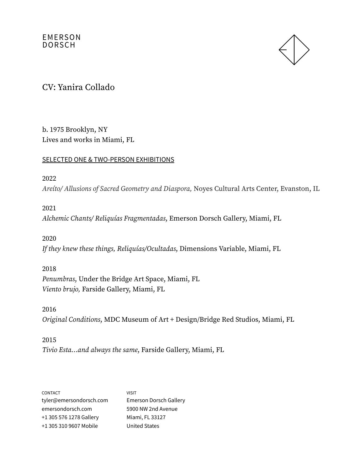

### CV: Yanira Collado

b. 1975 Brooklyn, NY Lives and works in Miami, FL

#### SELECTED ONE & TWO-PERSON EXHIBITIONS

#### 2022

Areíto/ Allusions of Sacred Geometry and Diaspora, Noyes Cultural Arts Center, Evanston, IL

### 2021

Alchemic Chants/ Reliquías Fragmentadas, Emerson Dorsch Gallery, Miami, FL

#### 2020

If they knew these things, Reliquías/Ocultadas, Dimensions Variable, Miami, FL

#### 2018

Penumbras, Under the Bridge Art Space, Miami, FL Viento brujo, Farside Gallery, Miami, FL

### 2016 Original Conditions, MDC Museum of Art + Design/Bridge Red Studios, Miami, FL

### 2015 Tivio Esta…and always the same, Farside Gallery, Miami, FL

| CONTACT                 | <b>VISIT</b>                  |
|-------------------------|-------------------------------|
| tyler@emersondorsch.com | <b>Emerson Dorsch Gallery</b> |
| emersondorsch.com       | 5900 NW 2nd Avenue            |
| +1 305 576 1278 Gallery | Miami, FL 33127               |
| +1 305 310 9607 Mobile  | <b>United States</b>          |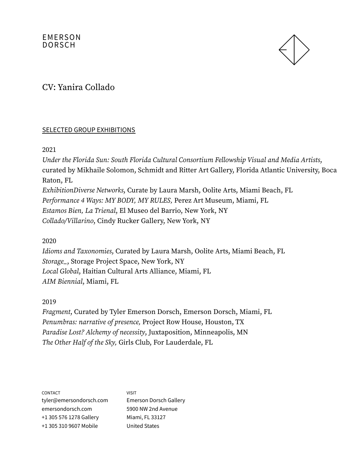

## CV: Yanira Collado

#### SELECTED GROUP EXHIBITIONS

2021

Under the Florida Sun: South Florida Cultural Consortium Fellowship Visual and Media Artists, curated by Mikhaile Solomon, Schmidt and Ritter Art Gallery, Florida Atlantic University, Boca Raton, FL ExhibitionDiverse Networks, Curate by Laura Marsh, Oolite Arts, Miami Beach, FL Performance 4 Ways: MY BODY, MY RULES, Perez Art Museum, Miami, FL Estamos Bien, La Trienal, El Museo del Barrio, New York, NY Collado/Villarino, Cindy Rucker Gallery, New York, NY

2020

Idioms and Taxonomies, Curated by Laura Marsh, Oolite Arts, Miami Beach, FL Storage\_, Storage Project Space, New York, NY Local Global, Haitian Cultural Arts Alliance, Miami, FL AIM Biennial, Miami, FL

### 2019

Fragment, Curated by Tyler Emerson Dorsch, Emerson Dorsch, Miami, FL Penumbras: narrative of presence, Project Row House, Houston, TX Paradise Lost? Alchemy of necessity, Juxtaposition, Minneapolis, MN The Other Half of the Sky, Girls Club, For Lauderdale, FL

CONTACT tyler@emersondorsch.com emersondorsch.com +1 305 576 1278 Gallery +1 305 310 9607 Mobile

VISIT Emerson Dorsch Gallery 5900 NW 2nd Avenue Miami, FL 33127 United States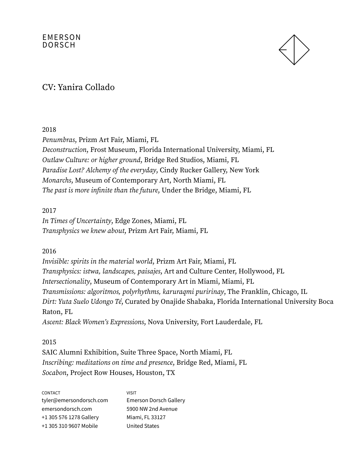

## CV: Yanira Collado

2018

Penumbras, Prizm Art Fair, Miami, FL Deconstruction, Frost Museum, Florida International University, Miami, FL Outlaw Culture: or higher ground, Bridge Red Studios, Miami, FL Paradise Lost? Alchemy of the everyday, Cindy Rucker Gallery, New York Monarchs, Museum of Contemporary Art, North Miami, FL The past is more infinite than the future, Under the Bridge, Miami, FL

2017 In Times of Uncertainty, Edge Zones, Miami, FL Transphysics we knew about, Prizm Art Fair, Miami, FL

### 2016

Invisible: spirits in the material world, Prizm Art Fair, Miami, FL Transphysics: istwa, landscapes, paisajes, Art and Culture Center, Hollywood, FL Intersectionality, Museum of Contemporary Art in Miami, Miami, FL Transmissions: algoritmos, polyrhythms, karuraqmi puririnay, The Franklin, Chicago, IL Dirt: Yuta Suelo Udongo Té, Curated by Onajide Shabaka, Florida International University Boca Raton, FL

Ascent: Black Women's Expressions, Nova University, Fort Lauderdale, FL

2015 SAIC Alumni Exhibition, Suite Three Space, North Miami, FL Inscribing: meditations on time and presence, Bridge Red, Miami, FL Socabon, Project Row Houses, Houston, TX

| <b>CONTACT</b>          | VISIT                         |
|-------------------------|-------------------------------|
| tyler@emersondorsch.com | <b>Emerson Dorsch Gallery</b> |
| emersondorsch.com       | 5900 NW 2nd Avenue            |
| +1 305 576 1278 Gallery | Miami, FL 33127               |
| +1 305 310 9607 Mobile  | <b>United States</b>          |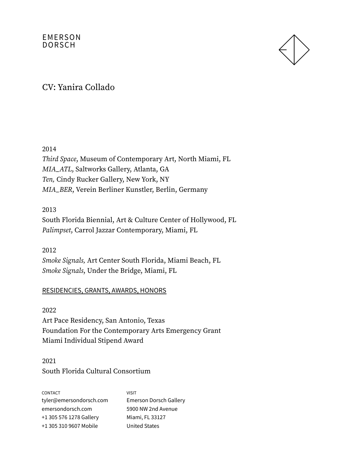

### CV: Yanira Collado

2014

Third Space, Museum of Contemporary Art, North Miami, FL MIA\_ATL, Saltworks Gallery, Atlanta, GA Ten, Cindy Rucker Gallery, New York, NY MIA\_BER, Verein Berliner Kunstler, Berlin, Germany

#### 2013

South Florida Biennial, Art & Culture Center of Hollywood, FL Palimpset, Carrol Jazzar Contemporary, Miami, FL

2012 Smoke Signals, Art Center South Florida, Miami Beach, FL Smoke Signals, Under the Bridge, Miami, FL

### RESIDENCIES, GRANTS, AWARDS, HONORS

2022 Art Pace Residency, San Antonio, Texas Foundation For the Contemporary Arts Emergency Grant Miami Individual Stipend Award

2021 South Florida Cultural Consortium

CONTACT tyler@emersondorsch.com emersondorsch.com +1 305 576 1278 Gallery +1 305 310 9607 Mobile VISIT Emerson Dorsch Gallery 5900 NW 2nd Avenue Miami, FL 33127 United States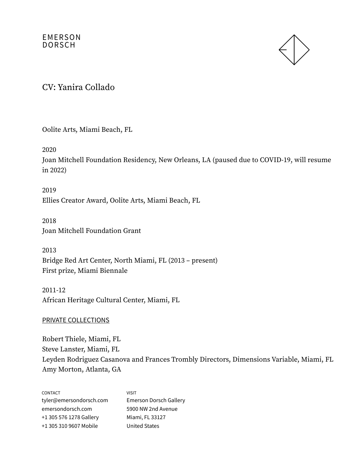

CV: Yanira Collado

Oolite Arts, Miami Beach, FL

2020

Joan Mitchell Foundation Residency, New Orleans, LA (paused due to COVID-19, will resume in 2022)

2019 Ellies Creator Award, Oolite Arts, Miami Beach, FL

2018 Joan Mitchell Foundation Grant

2013 Bridge Red Art Center, North Miami, FL (2013 – present) First prize, Miami Biennale

2011-12 African Heritage Cultural Center, Miami, FL

PRIVATE COLLECTIONS

Robert Thiele, Miami, FL Steve Lanster, Miami, FL Leyden Rodriguez Casanova and Frances Trombly Directors, Dimensions Variable, Miami, FL Amy Morton, Atlanta, GA

| CONTACT                 | <b>VISIT</b>                  |
|-------------------------|-------------------------------|
| tyler@emersondorsch.com | <b>Emerson Dorsch Gallery</b> |
| emersondorsch.com       | 5900 NW 2nd Avenue            |
| +1 305 576 1278 Gallery | Miami, FL 33127               |
| +1 305 310 9607 Mobile  | <b>United States</b>          |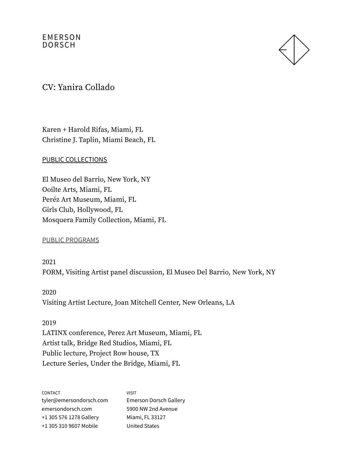

### CV: Yanira Collado

Karen + Harold Rifas, Miami, FL Christine J. Taplin, Miami Beach, FL

#### PUBLIC COLLECTIONS

El Museo del Barrio, New York, NY Ooilte Arts, Miami, FL Peréz Art Museum, Miami, FL Girls Club, Hollywood, FL Mosquera Family Collection, Miami, FL

#### PUBLIC PROGRAMS

2021 FORM, Visiting Artist panel discussion, El Museo Del Barrio, New York, NY

2020 Visiting Artist Lecture, Joan Mitchell Center, New Orleans, LA

2019 LATINX conference, Perez Art Museum, Miami, FL Artist talk, Bridge Red Studios, Miami, FL Public lecture, Project Row house, TX Lecture Series, Under the Bridge, Miami, FL

| <b>CONTACT</b>          | <b>VISIT</b>                  |
|-------------------------|-------------------------------|
| tyler@emersondorsch.com | <b>Emerson Dorsch Gallery</b> |
| emersondorsch.com       | 5900 NW 2nd Avenue            |
| +1 305 576 1278 Gallery | Miami, FL 33127               |
| +1 305 310 9607 Mobile  | <b>United States</b>          |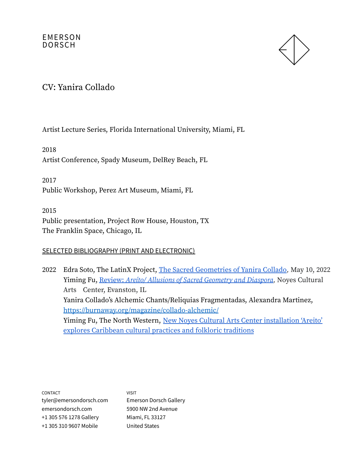

CV: Yanira Collado

Artist Lecture Series, Florida International University, Miami, FL

2018 Artist Conference, Spady Museum, DelRey Beach, FL

2017 Public Workshop, Perez Art Museum, Miami, FL

2015 Public presentation, Project Row House, Houston, TX The Franklin Space, Chicago, IL

### SELECTED BIBLIOGRAPHY (PRINT AND ELECTRONIC)

2022 Edra Soto, The LatinX Project, The Sacred [Geometries](https://emersondorsch.com/news/yanira-collado-2/) of Yanira Collado, May 10, 2022 Yiming Fu, Review: Areíto/ Allusions of Sacred [Geometry](https://emersondorsch.com/news/yanira-collados/) and Diaspora, Noyes Cultural Arts Center, Evanston, IL Yanira Collado's Alchemic Chants/Reliquias Fragmentadas, Alexandra Martinez, <https://burnaway.org/magazine/collado-alchemic/> Yiming Fu, The North Western, New Noyes Cultural Arts Center [installation](https://dailynorthwestern.com/tag/yanira-collado/) 'Areito' explores [Caribbean](https://dailynorthwestern.com/tag/yanira-collado/) cultural practices and folkloric traditions

CONTACT tyler@emersondorsch.com emersondorsch.com +1 305 576 1278 Gallery +1 305 310 9607 Mobile

VISIT Emerson Dorsch Gallery 5900 NW 2nd Avenue Miami, FL 33127 United States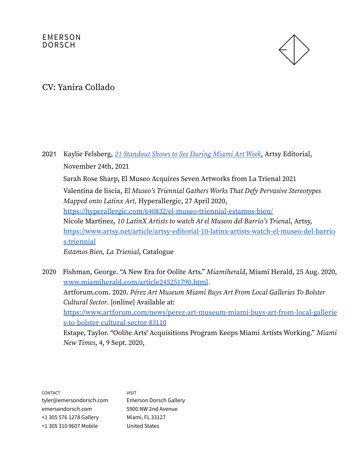

### CV: Yanira Collado

2021 Kaylie Felsberg, 21 [Standout](https://www.artsy.net/article/artsy-editorial-21-standout-miami-art-week?utm_source=braze&utm_medium=email&utm_campaign=editorial&utm_term=61a3a8ad82ebae690489643b0c091be6) Shows to See During Miami Art Week, Artsy Editorial, November 24th, 2021 Sarah Rose Sharp, El Museo Acquires Seven Artworks from La Trienal 2021 Valentina de liscia, El Museo's Triennial Gathers Works That Defy Pervasive Stereotypes Mapped onto Latinx Art, Hyperallergic, 27 April 2020, <https://hyperallergic.com/640832/el-museo-triennial-estamos-bien/> Nicole Martinez, 10 LatinX Artists to watch At el Museos del Barrio's Trienal, Artsy, [https://www.artsy.net/article/artsy-editorial-10-latinx-artists-watch-el-museo-del-barrio](https://www.artsy.net/article/artsy-editorial-10-latinx-artists-watch-el-museo-del-barrios-triennial) [s-triennial](https://www.artsy.net/article/artsy-editorial-10-latinx-artists-watch-el-museo-del-barrios-triennial) Estamos Bien, La Trienial, Catalogue

2020 Fishman, George. "A New Era for Oolite Arts." Miamiherald, Miami Herald, 25 Aug. 2020, [www.miamiherald.com/article245251790.html](http://www.miamiherald.com/article245251790.html). Artforum.com. 2020. Pérez Art Museum Miami Buys Art From Local Galleries To Bolster Cultural Sector. [online] Available at: [https://www.artforum.com/news/perez-art-museum-miami-buys-art-from-local-gallerie](https://www.artforum.com/news/perez-art-museum-miami-buys-art-from-local-galleries-to-bolster-cultural-sector-83110) [s-to-bolster-cultural-sector-83110](https://www.artforum.com/news/perez-art-museum-miami-buys-art-from-local-galleries-to-bolster-cultural-sector-83110) Estape, Taylor. "Oolite Arts' Acquisitions Program Keeps Miami Artists Working." Miami New Times, 4, 9 Sept. 2020,

CONTACT tyler@emersondorsch.com emersondorsch.com +1 305 576 1278 Gallery +1 305 310 9607 Mobile VISIT Emerson Dorsch Gallery 5900 NW 2nd Avenue Miami, FL 33127 United States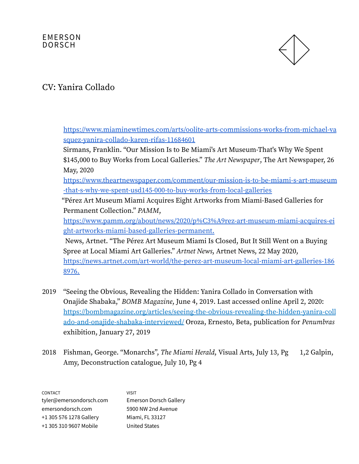

# CV: Yanira Collado

[https://www.miaminewtimes.com/arts/oolite-arts-commissions-works-from-michael-va](https://www.miaminewtimes.com/arts/oolite-arts-commissions-works-from-michael-vasquez-yanira-collado-karen-rifas-11684601) [squez-yanira-collado-karen-rifas-11684601](https://www.miaminewtimes.com/arts/oolite-arts-commissions-works-from-michael-vasquez-yanira-collado-karen-rifas-11684601)

Sirmans, Franklin. "Our Mission Is to Be Miami's Art Museum-That's Why We Spent \$145,000 to Buy Works from Local Galleries." The Art Newspaper, The Art Newspaper, 26 May, 2020

[https://www.theartnewspaper.com/comment/our-mission-is-to-be-miami-s-art-museum](https://www.theartnewspaper.com/comment/our-mission-is-to-be-miami-s-art-museum-that-s-why-we-spent-usd145-000-to-buy-works-from-local-galleries) [-that-s-why-we-spent-usd145-000-to-buy-works-from-local-galleries](https://www.theartnewspaper.com/comment/our-mission-is-to-be-miami-s-art-museum-that-s-why-we-spent-usd145-000-to-buy-works-from-local-galleries)

"Pérez Art Museum Miami Acquires Eight Artworks from Miami-Based Galleries for Permanent Collection." PAMM,

[https://www.pamm.org/about/news/2020/p%C3%A9rez-art-museum-miami-acquires-ei](https://www.pamm.org/about/news/2020/p%C3%A9rez-art-museum-miami-acquires-eight-artworks-miami-based-galleries-permanent.) [ght-artworks-miami-based-galleries-permanent.](https://www.pamm.org/about/news/2020/p%C3%A9rez-art-museum-miami-acquires-eight-artworks-miami-based-galleries-permanent.)

News, Artnet. "The Pérez Art Museum Miami Is Closed, But It Still Went on a Buying Spree at Local Miami Art Galleries." Artnet News, Artnet News, 22 May 2020, [https://news.artnet.com/art-world/the-perez-art-museum-local-miami-art-galleries-186](https://news.artnet.com/art-world/the-perez-art-museum-local-miami-art-galleries-1868976.) [8976.](https://news.artnet.com/art-world/the-perez-art-museum-local-miami-art-galleries-1868976.)

- 2019 "Seeing the Obvious, Revealing the Hidden: Yanira Collado in Conversation with Onajide Shabaka," BOMB Magazine, June 4, 2019. Last accessed online April 2, 2020: [https://bombmagazine.org/articles/seeing-the-obvious-revealing-the-hidden-yanira-coll](https://bombmagazine.org/articles/seeing-the-obvious-revealing-the-hidden-yanira-collado-and-onajide-shabaka-interviewed/) [ado-and-onajide-shabaka-interviewed/](https://bombmagazine.org/articles/seeing-the-obvious-revealing-the-hidden-yanira-collado-and-onajide-shabaka-interviewed/) Oroza, Ernesto, Beta, publication for Penumbras exhibition, January 27, 2019
- 2018 Fishman, George. "Monarchs", The Miami Herald, Visual Arts, July 13, Pg 1,2 Galpin, Amy, Deconstruction catalogue, July 10, Pg 4

CONTACT tyler@emersondorsch.com emersondorsch.com +1 305 576 1278 Gallery +1 305 310 9607 Mobile VISIT Emerson Dorsch Gallery 5900 NW 2nd Avenue Miami, FL 33127 United States